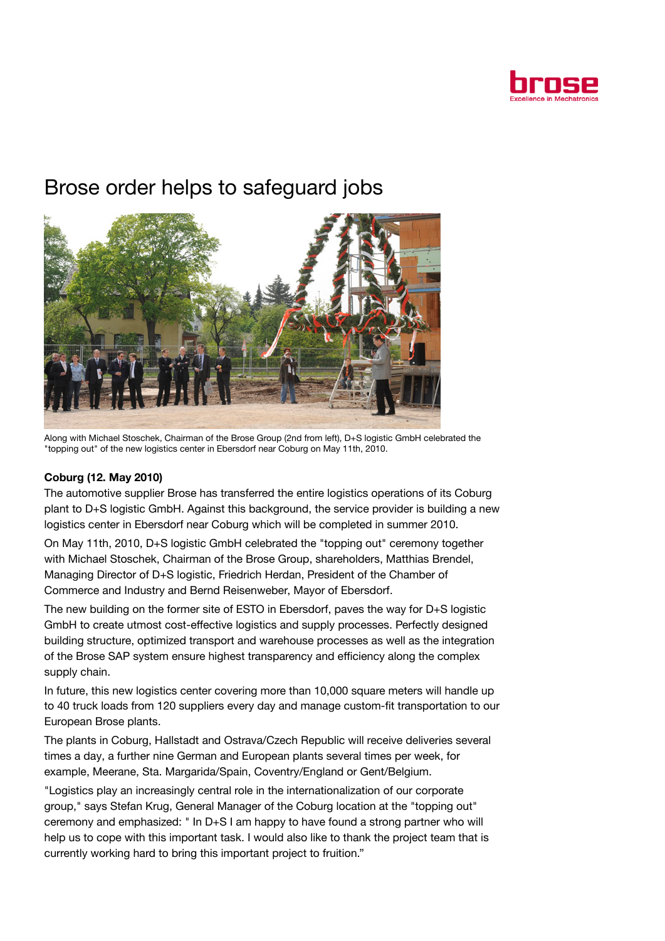

## Brose order helps to safeguard jobs



Along with Michael Stoschek, Chairman of the Brose Group (2nd from left), D+S logistic GmbH celebrated the "topping out" of the new logistics center in Ebersdorf near Coburg on May 11th, 2010.

## Coburg (12. May 2010)

The automotive supplier Brose has transferred the entire logistics operations of its Coburg plant to D+S logistic GmbH. Against this background, the service provider is building a new logistics center in Ebersdorf near Coburg which will be completed in summer 2010.

On May 11th, 2010, D+S logistic GmbH celebrated the "topping out" ceremony together with Michael Stoschek, Chairman of the Brose Group, shareholders, Matthias Brendel, Managing Director of D+S logistic, Friedrich Herdan, President of the Chamber of Commerce and Industry and Bernd Reisenweber, Mayor of Ebersdorf.

The new building on the former site of ESTO in Ebersdorf, paves the way for D+S logistic GmbH to create utmost cost-effective logistics and supply processes. Perfectly designed building structure, optimized transport and warehouse processes as well as the integration of the Brose SAP system ensure highest transparency and efficiency along the complex supply chain.

In future, this new logistics center covering more than 10,000 square meters will handle up to 40 truck loads from 120 suppliers every day and manage custom-fit transportation to our European Brose plants.

The plants in Coburg, Hallstadt and Ostrava/Czech Republic will receive deliveries several times a day, a further nine German and European plants several times per week, for example, Meerane, Sta. Margarida/Spain, Coventry/England or Gent/Belgium.

"Logistics play an increasingly central role in the internationalization of our corporate group," says Stefan Krug, General Manager of the Coburg location at the "topping out" ceremony and emphasized: " In D+S I am happy to have found a strong partner who will help us to cope with this important task. I would also like to thank the project team that is currently working hard to bring this important project to fruition."